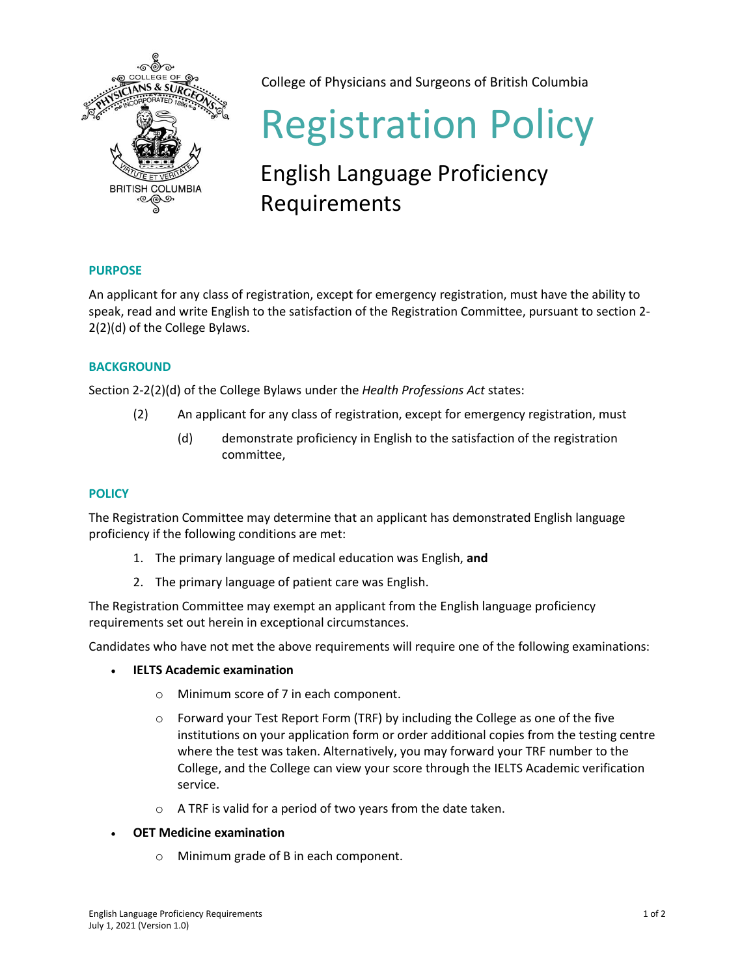

College of Physicians and Surgeons of British Columbia

# Registration Policy

## English Language Proficiency Requirements

### **PURPOSE**

An applicant for any class of registration, except for emergency registration, must have the ability to speak, read and write English to the satisfaction of the Registration Committee, pursuant to section 2- 2(2)(d) of the College Bylaws.

#### **BACKGROUND**

Section 2-2(2)(d) of the College Bylaws under the *Health Professions Act* states:

- (2) An applicant for any class of registration, except for emergency registration, must
	- (d) demonstrate proficiency in English to the satisfaction of the registration committee,

#### **POLICY**

The Registration Committee may determine that an applicant has demonstrated English language proficiency if the following conditions are met:

- 1. The primary language of medical education was English, **and**
- 2. The primary language of patient care was English.

The Registration Committee may exempt an applicant from the English language proficiency requirements set out herein in exceptional circumstances.

Candidates who have not met the above requirements will require one of the following examinations:

- **IELTS Academic examination**
	- o Minimum score of 7 in each component.
	- o Forward your Test Report Form (TRF) by including the College as one of the five institutions on your application form or order additional copies from the testing centre where the test was taken. Alternatively, you may forward your TRF number to the College, and the College can view your score through the IELTS Academic verification service.
	- o A TRF is valid for a period of two years from the date taken.
- **OET Medicine examination**
	- o Minimum grade of B in each component.